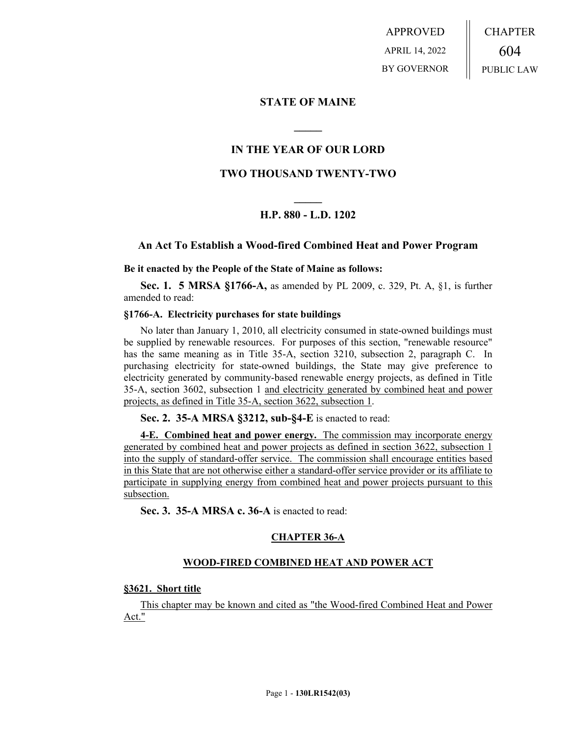APPROVED APRIL 14, 2022 BY GOVERNOR CHAPTER 604 PUBLIC LAW

## **STATE OF MAINE**

## **IN THE YEAR OF OUR LORD**

**\_\_\_\_\_**

## **TWO THOUSAND TWENTY-TWO**

# **\_\_\_\_\_ H.P. 880 - L.D. 1202**

## **An Act To Establish a Wood-fired Combined Heat and Power Program**

#### **Be it enacted by the People of the State of Maine as follows:**

**Sec. 1. 5 MRSA §1766-A,** as amended by PL 2009, c. 329, Pt. A, §1, is further amended to read:

#### **§1766-A. Electricity purchases for state buildings**

No later than January 1, 2010, all electricity consumed in state-owned buildings must be supplied by renewable resources. For purposes of this section, "renewable resource" has the same meaning as in Title 35-A, section 3210, subsection 2, paragraph C. In purchasing electricity for state-owned buildings, the State may give preference to electricity generated by community-based renewable energy projects, as defined in Title 35-A, section 3602, subsection 1 and electricity generated by combined heat and power projects, as defined in Title 35-A, section 3622, subsection 1.

**Sec. 2. 35-A MRSA §3212, sub-§4-E** is enacted to read:

**4-E. Combined heat and power energy.** The commission may incorporate energy generated by combined heat and power projects as defined in section 3622, subsection 1 into the supply of standard-offer service. The commission shall encourage entities based in this State that are not otherwise either a standard-offer service provider or its affiliate to participate in supplying energy from combined heat and power projects pursuant to this subsection.

**Sec. 3. 35-A MRSA c. 36-A** is enacted to read:

## **CHAPTER 36-A**

#### **WOOD-FIRED COMBINED HEAT AND POWER ACT**

#### **§3621. Short title**

This chapter may be known and cited as "the Wood-fired Combined Heat and Power Act."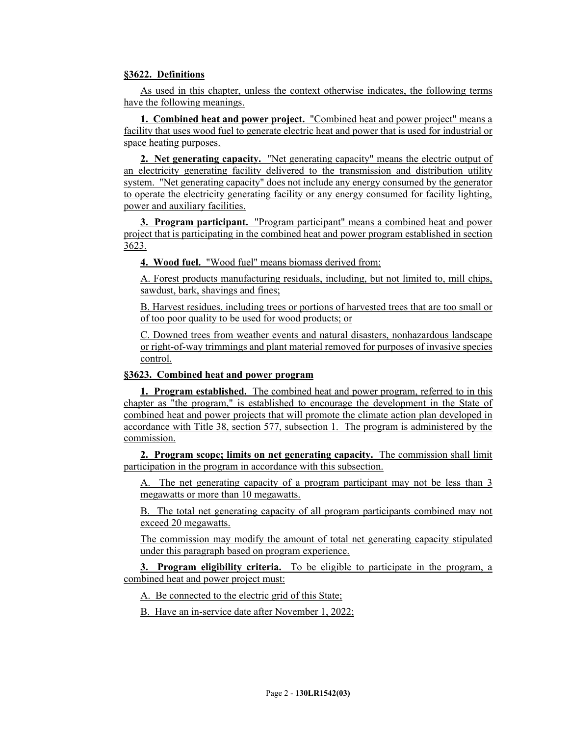## **§3622. Definitions**

As used in this chapter, unless the context otherwise indicates, the following terms have the following meanings.

**1. Combined heat and power project.** "Combined heat and power project" means a facility that uses wood fuel to generate electric heat and power that is used for industrial or space heating purposes.

**2. Net generating capacity.** "Net generating capacity" means the electric output of an electricity generating facility delivered to the transmission and distribution utility system. "Net generating capacity" does not include any energy consumed by the generator to operate the electricity generating facility or any energy consumed for facility lighting, power and auxiliary facilities.

**3. Program participant.** "Program participant" means a combined heat and power project that is participating in the combined heat and power program established in section 3623.

**4. Wood fuel.** "Wood fuel" means biomass derived from:

A. Forest products manufacturing residuals, including, but not limited to, mill chips, sawdust, bark, shavings and fines;

B. Harvest residues, including trees or portions of harvested trees that are too small or of too poor quality to be used for wood products; or

C. Downed trees from weather events and natural disasters, nonhazardous landscape or right-of-way trimmings and plant material removed for purposes of invasive species control.

## **§3623. Combined heat and power program**

**1. Program established.** The combined heat and power program, referred to in this chapter as "the program," is established to encourage the development in the State of combined heat and power projects that will promote the climate action plan developed in accordance with Title 38, section 577, subsection 1. The program is administered by the commission.

**2. Program scope; limits on net generating capacity.** The commission shall limit participation in the program in accordance with this subsection.

A. The net generating capacity of a program participant may not be less than 3 megawatts or more than 10 megawatts.

B. The total net generating capacity of all program participants combined may not exceed 20 megawatts.

The commission may modify the amount of total net generating capacity stipulated under this paragraph based on program experience.

**3. Program eligibility criteria.** To be eligible to participate in the program, a combined heat and power project must:

A. Be connected to the electric grid of this State;

B. Have an in-service date after November 1, 2022;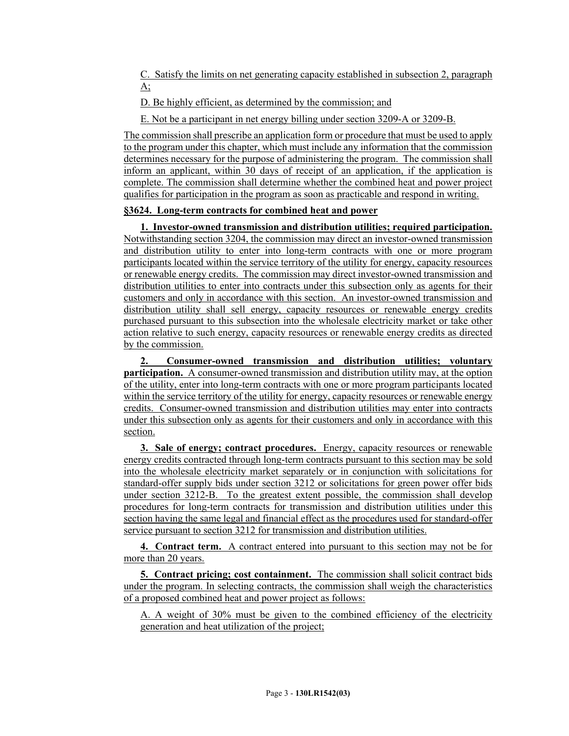C. Satisfy the limits on net generating capacity established in subsection 2, paragraph  $A$ :

D. Be highly efficient, as determined by the commission; and

E. Not be a participant in net energy billing under section 3209-A or 3209-B.

The commission shall prescribe an application form or procedure that must be used to apply to the program under this chapter, which must include any information that the commission determines necessary for the purpose of administering the program. The commission shall inform an applicant, within 30 days of receipt of an application, if the application is complete. The commission shall determine whether the combined heat and power project qualifies for participation in the program as soon as practicable and respond in writing.

## **§3624. Long-term contracts for combined heat and power**

**1. Investor-owned transmission and distribution utilities; required participation.** Notwithstanding section 3204, the commission may direct an investor-owned transmission and distribution utility to enter into long-term contracts with one or more program participants located within the service territory of the utility for energy, capacity resources or renewable energy credits. The commission may direct investor-owned transmission and distribution utilities to enter into contracts under this subsection only as agents for their customers and only in accordance with this section. An investor-owned transmission and distribution utility shall sell energy, capacity resources or renewable energy credits purchased pursuant to this subsection into the wholesale electricity market or take other action relative to such energy, capacity resources or renewable energy credits as directed by the commission.

**2. Consumer-owned transmission and distribution utilities; voluntary participation.** A consumer-owned transmission and distribution utility may, at the option of the utility, enter into long-term contracts with one or more program participants located within the service territory of the utility for energy, capacity resources or renewable energy credits. Consumer-owned transmission and distribution utilities may enter into contracts under this subsection only as agents for their customers and only in accordance with this section.

**3. Sale of energy; contract procedures.** Energy, capacity resources or renewable energy credits contracted through long-term contracts pursuant to this section may be sold into the wholesale electricity market separately or in conjunction with solicitations for standard-offer supply bids under section 3212 or solicitations for green power offer bids under section 3212-B. To the greatest extent possible, the commission shall develop procedures for long-term contracts for transmission and distribution utilities under this section having the same legal and financial effect as the procedures used for standard-offer service pursuant to section 3212 for transmission and distribution utilities.

**4. Contract term.** A contract entered into pursuant to this section may not be for more than 20 years.

**5. Contract pricing; cost containment.** The commission shall solicit contract bids under the program. In selecting contracts, the commission shall weigh the characteristics of a proposed combined heat and power project as follows:

A. A weight of 30% must be given to the combined efficiency of the electricity generation and heat utilization of the project;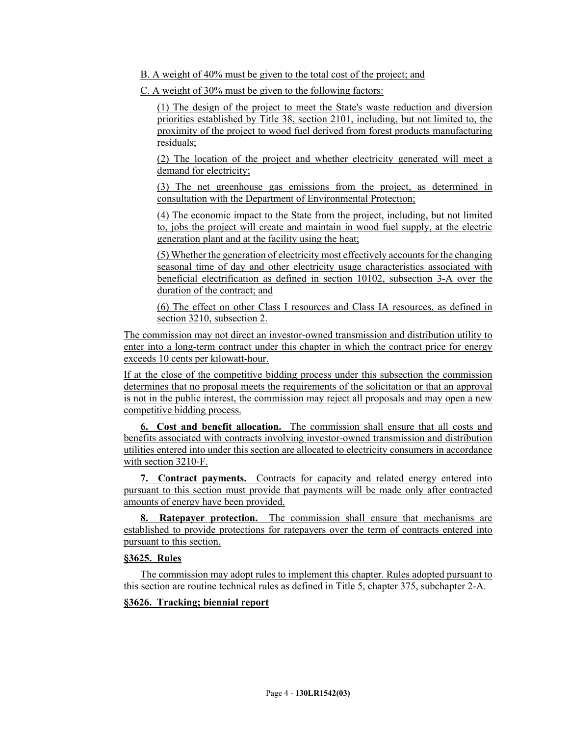B. A weight of 40% must be given to the total cost of the project; and

C. A weight of 30% must be given to the following factors:

(1) The design of the project to meet the State's waste reduction and diversion priorities established by Title 38, section 2101, including, but not limited to, the proximity of the project to wood fuel derived from forest products manufacturing residuals;

(2) The location of the project and whether electricity generated will meet a demand for electricity;

(3) The net greenhouse gas emissions from the project, as determined in consultation with the Department of Environmental Protection;

(4) The economic impact to the State from the project, including, but not limited to, jobs the project will create and maintain in wood fuel supply, at the electric generation plant and at the facility using the heat;

(5) Whether the generation of electricity most effectively accounts for the changing seasonal time of day and other electricity usage characteristics associated with beneficial electrification as defined in section 10102, subsection 3-A over the duration of the contract; and

(6) The effect on other Class I resources and Class IA resources, as defined in section 3210, subsection 2.

The commission may not direct an investor-owned transmission and distribution utility to enter into a long-term contract under this chapter in which the contract price for energy exceeds 10 cents per kilowatt-hour.

If at the close of the competitive bidding process under this subsection the commission determines that no proposal meets the requirements of the solicitation or that an approval is not in the public interest, the commission may reject all proposals and may open a new competitive bidding process.

**6. Cost and benefit allocation.** The commission shall ensure that all costs and benefits associated with contracts involving investor-owned transmission and distribution utilities entered into under this section are allocated to electricity consumers in accordance with section 3210-F.

**7. Contract payments.** Contracts for capacity and related energy entered into pursuant to this section must provide that payments will be made only after contracted amounts of energy have been provided.

**8. Ratepayer protection.** The commission shall ensure that mechanisms are established to provide protections for ratepayers over the term of contracts entered into pursuant to this section.

# **§3625. Rules**

The commission may adopt rules to implement this chapter. Rules adopted pursuant to this section are routine technical rules as defined in Title 5, chapter 375, subchapter 2-A.

## **§3626. Tracking; biennial report**